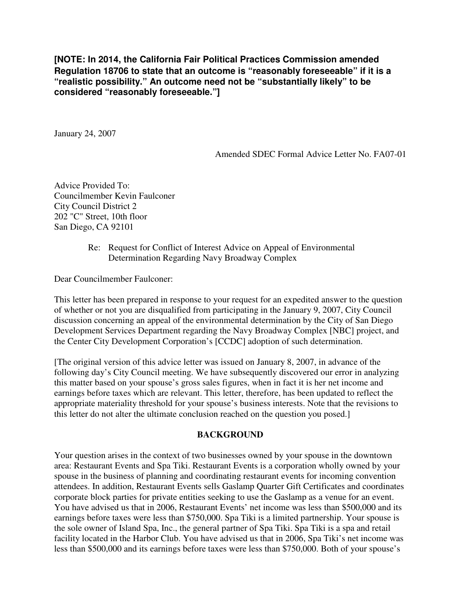**[NOTE: In 2014, the California Fair Political Practices Commission amended Regulation 18706 to state that an outcome is "reasonably foreseeable" if it is a "realistic possibility." An outcome need not be "substantially likely" to be considered "reasonably foreseeable."]**

January 24, 2007

Amended SDEC Formal Advice Letter No. FA07-01

Advice Provided To: Councilmember Kevin Faulconer City Council District 2 202 "C" Street, 10th floor San Diego, CA 92101

## Re: Request for Conflict of Interest Advice on Appeal of Environmental Determination Regarding Navy Broadway Complex

Dear Councilmember Faulconer:

This letter has been prepared in response to your request for an expedited answer to the question of whether or not you are disqualified from participating in the January 9, 2007, City Council discussion concerning an appeal of the environmental determination by the City of San Diego Development Services Department regarding the Navy Broadway Complex [NBC] project, and the Center City Development Corporation's [CCDC] adoption of such determination.

[The original version of this advice letter was issued on January 8, 2007, in advance of the following day's City Council meeting. We have subsequently discovered our error in analyzing this matter based on your spouse's gross sales figures, when in fact it is her net income and earnings before taxes which are relevant. This letter, therefore, has been updated to reflect the appropriate materiality threshold for your spouse's business interests. Note that the revisions to this letter do not alter the ultimate conclusion reached on the question you posed.]

### **BACKGROUND**

Your question arises in the context of two businesses owned by your spouse in the downtown area: Restaurant Events and Spa Tiki. Restaurant Events is a corporation wholly owned by your spouse in the business of planning and coordinating restaurant events for incoming convention attendees. In addition, Restaurant Events sells Gaslamp Quarter Gift Certificates and coordinates corporate block parties for private entities seeking to use the Gaslamp as a venue for an event. You have advised us that in 2006, Restaurant Events' net income was less than \$500,000 and its earnings before taxes were less than \$750,000. Spa Tiki is a limited partnership. Your spouse is the sole owner of Island Spa, Inc., the general partner of Spa Tiki. Spa Tiki is a spa and retail facility located in the Harbor Club. You have advised us that in 2006, Spa Tiki's net income was less than \$500,000 and its earnings before taxes were less than \$750,000. Both of your spouse's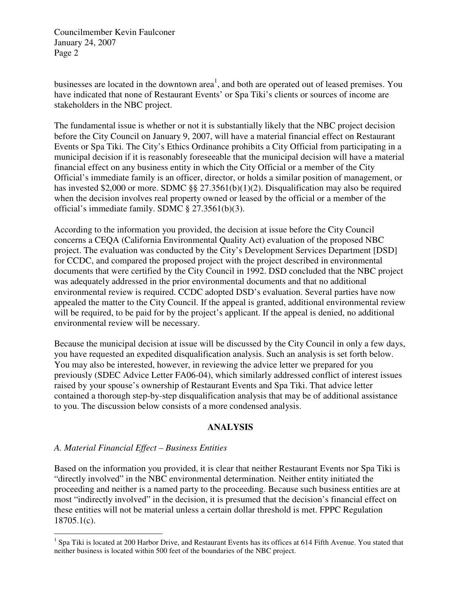businesses are located in the downtown area<sup>1</sup>, and both are operated out of leased premises. You have indicated that none of Restaurant Events' or Spa Tiki's clients or sources of income are stakeholders in the NBC project.

The fundamental issue is whether or not it is substantially likely that the NBC project decision before the City Council on January 9, 2007, will have a material financial effect on Restaurant Events or Spa Tiki. The City's Ethics Ordinance prohibits a City Official from participating in a municipal decision if it is reasonably foreseeable that the municipal decision will have a material financial effect on any business entity in which the City Official or a member of the City Official's immediate family is an officer, director, or holds a similar position of management, or has invested \$2,000 or more. SDMC §§ 27.3561(b)(1)(2). Disqualification may also be required when the decision involves real property owned or leased by the official or a member of the official's immediate family. SDMC § 27.3561(b)(3).

According to the information you provided, the decision at issue before the City Council concerns a CEQA (California Environmental Quality Act) evaluation of the proposed NBC project. The evaluation was conducted by the City's Development Services Department [DSD] for CCDC, and compared the proposed project with the project described in environmental documents that were certified by the City Council in 1992. DSD concluded that the NBC project was adequately addressed in the prior environmental documents and that no additional environmental review is required. CCDC adopted DSD's evaluation. Several parties have now appealed the matter to the City Council. If the appeal is granted, additional environmental review will be required, to be paid for by the project's applicant. If the appeal is denied, no additional environmental review will be necessary.

Because the municipal decision at issue will be discussed by the City Council in only a few days, you have requested an expedited disqualification analysis. Such an analysis is set forth below. You may also be interested, however, in reviewing the advice letter we prepared for you previously (SDEC Advice Letter FA06-04), which similarly addressed conflict of interest issues raised by your spouse's ownership of Restaurant Events and Spa Tiki. That advice letter contained a thorough step-by-step disqualification analysis that may be of additional assistance to you. The discussion below consists of a more condensed analysis.

### **ANALYSIS**

# *A. Material Financial Effect – Business Entities*

Based on the information you provided, it is clear that neither Restaurant Events nor Spa Tiki is "directly involved" in the NBC environmental determination. Neither entity initiated the proceeding and neither is a named party to the proceeding. Because such business entities are at most "indirectly involved" in the decision, it is presumed that the decision's financial effect on these entities will not be material unless a certain dollar threshold is met. FPPC Regulation 18705.1(c).

The Times of the set of the set of the set of the set of the set of the set of the set of the set of the set of the set of the set of the set of the set of the set of the set of the set of the set of the set of the set of neither business is located within 500 feet of the boundaries of the NBC project.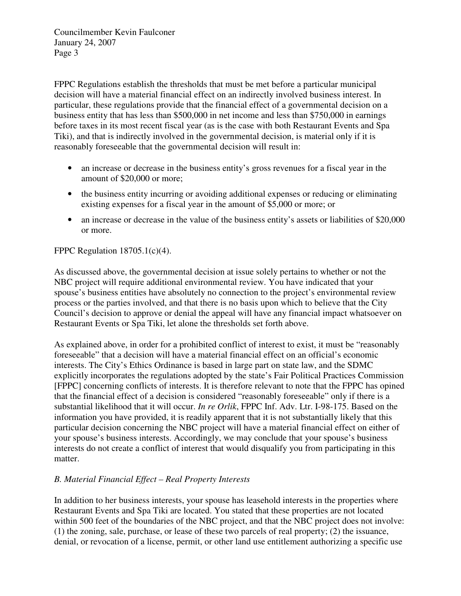FPPC Regulations establish the thresholds that must be met before a particular municipal decision will have a material financial effect on an indirectly involved business interest. In particular, these regulations provide that the financial effect of a governmental decision on a business entity that has less than \$500,000 in net income and less than \$750,000 in earnings before taxes in its most recent fiscal year (as is the case with both Restaurant Events and Spa Tiki), and that is indirectly involved in the governmental decision, is material only if it is reasonably foreseeable that the governmental decision will result in:

- an increase or decrease in the business entity's gross revenues for a fiscal year in the amount of \$20,000 or more;
- the business entity incurring or avoiding additional expenses or reducing or eliminating existing expenses for a fiscal year in the amount of \$5,000 or more; or
- an increase or decrease in the value of the business entity's assets or liabilities of \$20,000 or more.

# FPPC Regulation  $18705.1(c)(4)$ .

As discussed above, the governmental decision at issue solely pertains to whether or not the NBC project will require additional environmental review. You have indicated that your spouse's business entities have absolutely no connection to the project's environmental review process or the parties involved, and that there is no basis upon which to believe that the City Council's decision to approve or denial the appeal will have any financial impact whatsoever on Restaurant Events or Spa Tiki, let alone the thresholds set forth above.

As explained above, in order for a prohibited conflict of interest to exist, it must be "reasonably foreseeable" that a decision will have a material financial effect on an official's economic interests. The City's Ethics Ordinance is based in large part on state law, and the SDMC explicitly incorporates the regulations adopted by the state's Fair Political Practices Commission [FPPC] concerning conflicts of interests. It is therefore relevant to note that the FPPC has opined that the financial effect of a decision is considered "reasonably foreseeable" only if there is a substantial likelihood that it will occur. *In re Orlik*, FPPC Inf. Adv. Ltr. I-98-175. Based on the information you have provided, it is readily apparent that it is not substantially likely that this particular decision concerning the NBC project will have a material financial effect on either of your spouse's business interests. Accordingly, we may conclude that your spouse's business interests do not create a conflict of interest that would disqualify you from participating in this matter.

# *B. Material Financial Effect – Real Property Interests*

In addition to her business interests, your spouse has leasehold interests in the properties where Restaurant Events and Spa Tiki are located. You stated that these properties are not located within 500 feet of the boundaries of the NBC project, and that the NBC project does not involve: (1) the zoning, sale, purchase, or lease of these two parcels of real property; (2) the issuance, denial, or revocation of a license, permit, or other land use entitlement authorizing a specific use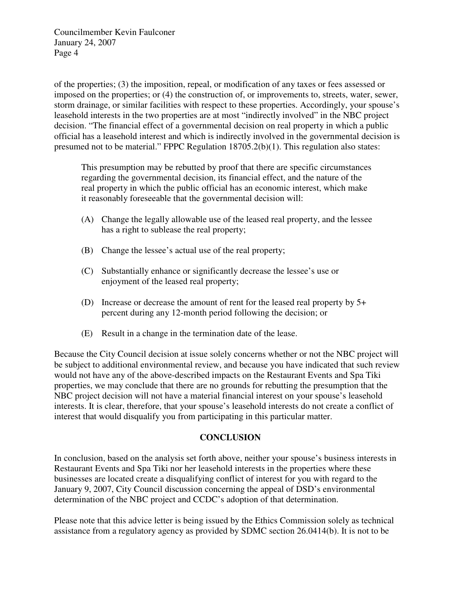of the properties; (3) the imposition, repeal, or modification of any taxes or fees assessed or imposed on the properties; or (4) the construction of, or improvements to, streets, water, sewer, storm drainage, or similar facilities with respect to these properties. Accordingly, your spouse's leasehold interests in the two properties are at most "indirectly involved" in the NBC project decision. "The financial effect of a governmental decision on real property in which a public official has a leasehold interest and which is indirectly involved in the governmental decision is presumed not to be material." FPPC Regulation 18705.2(b)(1). This regulation also states:

This presumption may be rebutted by proof that there are specific circumstances regarding the governmental decision, its financial effect, and the nature of the real property in which the public official has an economic interest, which make it reasonably foreseeable that the governmental decision will:

- (A) Change the legally allowable use of the leased real property, and the lessee has a right to sublease the real property;
- (B) Change the lessee's actual use of the real property;
- (C) Substantially enhance or significantly decrease the lessee's use or enjoyment of the leased real property;
- (D) Increase or decrease the amount of rent for the leased real property by 5+ percent during any 12-month period following the decision; or
- (E) Result in a change in the termination date of the lease.

Because the City Council decision at issue solely concerns whether or not the NBC project will be subject to additional environmental review, and because you have indicated that such review would not have any of the above-described impacts on the Restaurant Events and Spa Tiki properties, we may conclude that there are no grounds for rebutting the presumption that the NBC project decision will not have a material financial interest on your spouse's leasehold interests. It is clear, therefore, that your spouse's leasehold interests do not create a conflict of interest that would disqualify you from participating in this particular matter.

### **CONCLUSION**

In conclusion, based on the analysis set forth above, neither your spouse's business interests in Restaurant Events and Spa Tiki nor her leasehold interests in the properties where these businesses are located create a disqualifying conflict of interest for you with regard to the January 9, 2007, City Council discussion concerning the appeal of DSD's environmental determination of the NBC project and CCDC's adoption of that determination.

Please note that this advice letter is being issued by the Ethics Commission solely as technical assistance from a regulatory agency as provided by SDMC section 26.0414(b). It is not to be